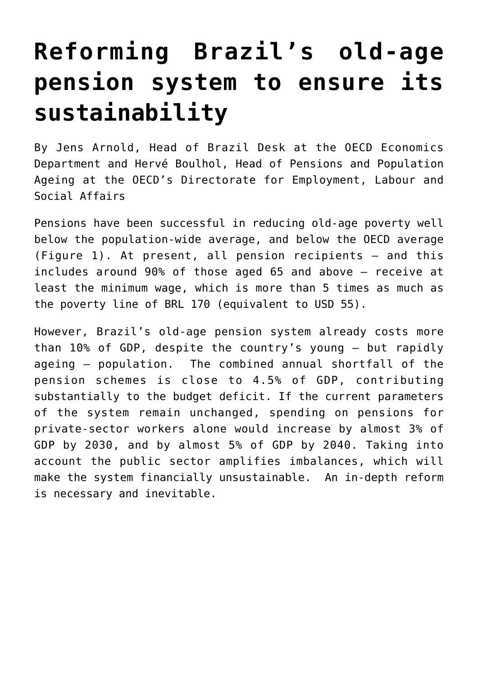## **[Reforming Brazil's old-age](https://oecdecoscope.blog/2017/04/19/reforming-brazils-old-age-pension-system-to-ensure-its-sustainability/) [pension system to ensure its](https://oecdecoscope.blog/2017/04/19/reforming-brazils-old-age-pension-system-to-ensure-its-sustainability/) [sustainability](https://oecdecoscope.blog/2017/04/19/reforming-brazils-old-age-pension-system-to-ensure-its-sustainability/)**

By Jens Arnold, Head of Brazil Desk at the OECD Economics Department and Hervé Boulhol, Head of Pensions and Population Ageing at the OECD's Directorate for Employment, Labour and Social Affairs

Pensions have been successful in reducing old-age poverty well below the population-wide average, and below the OECD average (Figure 1). At present, all pension recipients – and this includes around 90% of those aged 65 and above – receive at least the minimum wage, which is more than 5 times as much as the poverty line of BRL 170 (equivalent to USD 55).

However, Brazil's old-age pension system already costs more than 10% of GDP, despite the country's young – but rapidly ageing – population. The combined annual shortfall of the pension schemes is close to 4.5% of GDP, contributing substantially to the budget deficit. If the current parameters of the system remain unchanged, spending on pensions for private-sector workers alone would increase by almost 3% of GDP by 2030, and by almost 5% of GDP by 2040. Taking into account the public sector amplifies imbalances, which will make the system financially unsustainable. An in-depth reform is necessary and inevitable.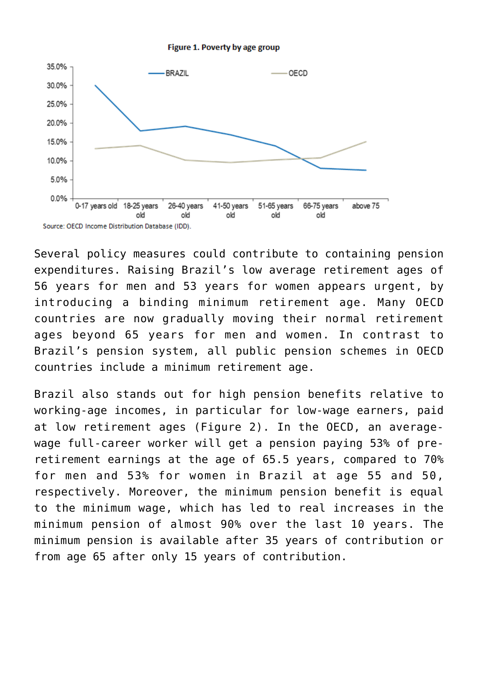



Several policy measures could contribute to containing pension expenditures. Raising Brazil's low average retirement ages of 56 years for men and 53 years for women appears urgent, by introducing a binding minimum retirement age. Many OECD countries are now gradually moving their normal retirement ages beyond 65 years for men and women. In contrast to Brazil's pension system, all public pension schemes in OECD countries include a minimum retirement age.

Brazil also stands out for high pension benefits relative to working-age incomes, in particular for low-wage earners, paid at low retirement ages (Figure 2). In the OECD, an averagewage full-career worker will get a pension paying 53% of preretirement earnings at the age of 65.5 years, compared to 70% for men and 53% for women in Brazil at age 55 and 50, respectively. Moreover, the minimum pension benefit is equal to the minimum wage, which has led to real increases in the minimum pension of almost 90% over the last 10 years. The minimum pension is available after 35 years of contribution or from age 65 after only 15 years of contribution.